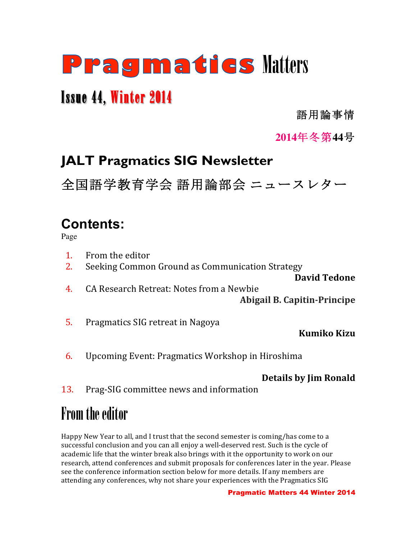# Pragmatics Matters

# Issue 44, Winter 2014

語用論事情

### **2014**年冬第**44**号

# **JALT Pragmatics SIG Newsletter**

全国語学教育学会 語用論部会 ニュースレター

# **Contents:**

Page

- 1. From the editor
- 2. Seeking Common Ground as Communication Strategy

**David Tedone**

- 4. CA Research Retreat: Notes from a Newbie **Abigail B. Capitin-Principe**
- 5. Pragmatics SIG retreat in Nagoya

**Kumiko Kizu**

6. Upcoming Event: Pragmatics Workshop in Hiroshima

### **Details by Jim Ronald**

13. Prag-SIG committee news and information

# From the editor

Happy New Year to all, and I trust that the second semester is coming/has come to a successful conclusion and you can all enjoy a well-deserved rest. Such is the cycle of academic life that the winter break also brings with it the opportunity to work on our research, attend conferences and submit proposals for conferences later in the year. Please see the conference information section below for more details. If any members are attending any conferences, why not share your experiences with the Pragmatics SIG

#### Pragmatic Matters 44 Winter 2014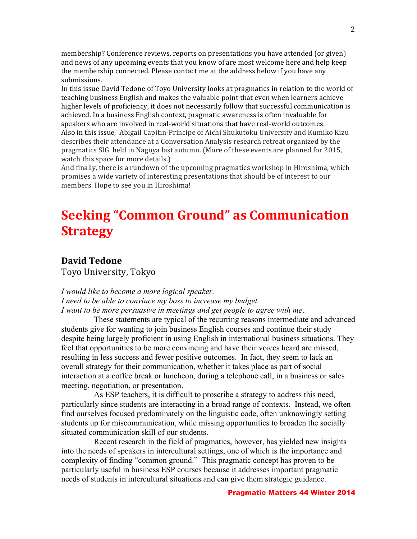membership? Conference reviews, reports on presentations you have attended (or given) and news of any upcoming events that you know of are most welcome here and help keep the membership connected. Please contact me at the address below if you have any submissions. 

In this issue David Tedone of Toyo University looks at pragmatics in relation to the world of teaching business English and makes the valuable point that even when learners achieve higher levels of proficiency, it does not necessarily follow that successful communication is achieved. In a business English context, pragmatic awareness is often invaluable for speakers who are involved in real-world situations that have real-world outcomes. Also in this issue, Abigail Capitin-Principe of Aichi Shukutoku University and Kumiko Kizu describes their attendance at a Conversation Analysis research retreat organized by the pragmatics SIG held in Nagoya last autumn. (More of these events are planned for 2015, watch this space for more details.)

And finally, there is a rundown of the upcoming pragmatics workshop in Hiroshima, which promises a wide variety of interesting presentations that should be of interest to our members. Hope to see you in Hiroshima!

# **Seeking "Common Ground" as Communication Strategy**

#### **David Tedone**

Toyo University, Tokyo

#### *I would like to become a more logical speaker. I need to be able to convince my boss to increase my budget. I want to be more persuasive in meetings and get people to agree with me*.

These statements are typical of the recurring reasons intermediate and advanced students give for wanting to join business English courses and continue their study despite being largely proficient in using English in international business situations. They feel that opportunities to be more convincing and have their voices heard are missed, resulting in less success and fewer positive outcomes. In fact, they seem to lack an overall strategy for their communication, whether it takes place as part of social interaction at a coffee break or luncheon, during a telephone call, in a business or sales meeting, negotiation, or presentation.

As ESP teachers, it is difficult to proscribe a strategy to address this need, particularly since students are interacting in a broad range of contexts. Instead, we often find ourselves focused predominately on the linguistic code, often unknowingly setting students up for miscommunication, while missing opportunities to broaden the socially situated communication skill of our students.

Recent research in the field of pragmatics, however, has yielded new insights into the needs of speakers in intercultural settings, one of which is the importance and complexity of finding "common ground." This pragmatic concept has proven to be particularly useful in business ESP courses because it addresses important pragmatic needs of students in intercultural situations and can give them strategic guidance.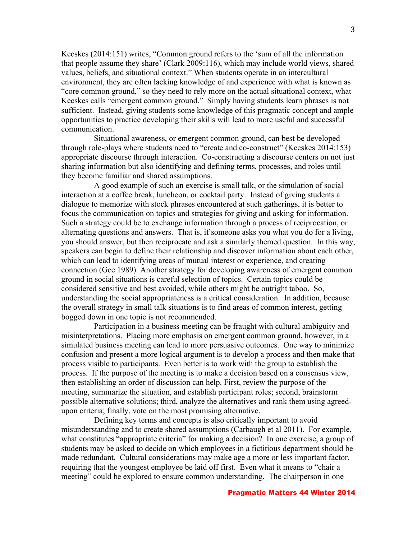Kecskes (2014:151) writes, "Common ground refers to the 'sum of all the information that people assume they share' (Clark 2009:116), which may include world views, shared values, beliefs, and situational context." When students operate in an intercultural environment, they are often lacking knowledge of and experience with what is known as "core common ground," so they need to rely more on the actual situational context, what Kecskes calls "emergent common ground." Simply having students learn phrases is not sufficient. Instead, giving students some knowledge of this pragmatic concept and ample opportunities to practice developing their skills will lead to more useful and successful communication.

Situational awareness, or emergent common ground, can best be developed through role-plays where students need to "create and co-construct" (Kecskes 2014:153) appropriate discourse through interaction. Co-constructing a discourse centers on not just sharing information but also identifying and defining terms, processes, and roles until they become familiar and shared assumptions.

A good example of such an exercise is small talk, or the simulation of social interaction at a coffee break, luncheon, or cocktail party. Instead of giving students a dialogue to memorize with stock phrases encountered at such gatherings, it is better to focus the communication on topics and strategies for giving and asking for information. Such a strategy could be to exchange information through a process of reciprocation, or alternating questions and answers. That is, if someone asks you what you do for a living, you should answer, but then reciprocate and ask a similarly themed question. In this way, speakers can begin to define their relationship and discover information about each other, which can lead to identifying areas of mutual interest or experience, and creating connection (Gee 1989). Another strategy for developing awareness of emergent common ground in social situations is careful selection of topics. Certain topics could be considered sensitive and best avoided, while others might be outright taboo. So, understanding the social appropriateness is a critical consideration. In addition, because the overall strategy in small talk situations is to find areas of common interest, getting bogged down in one topic is not recommended.

Participation in a business meeting can be fraught with cultural ambiguity and misinterpretations. Placing more emphasis on emergent common ground, however, in a simulated business meeting can lead to more persuasive outcomes. One way to minimize confusion and present a more logical argument is to develop a process and then make that process visible to participants. Even better is to work with the group to establish the process. If the purpose of the meeting is to make a decision based on a consensus view, then establishing an order of discussion can help. First, review the purpose of the meeting, summarize the situation, and establish participant roles; second, brainstorm possible alternative solutions; third, analyze the alternatives and rank them using agreedupon criteria; finally, vote on the most promising alternative.

Defining key terms and concepts is also critically important to avoid misunderstanding and to create shared assumptions (Carbaugh et al 2011). For example, what constitutes "appropriate criteria" for making a decision? In one exercise, a group of students may be asked to decide on which employees in a fictitious department should be made redundant. Cultural considerations may make age a more or less important factor, requiring that the youngest employee be laid off first. Even what it means to "chair a meeting" could be explored to ensure common understanding. The chairperson in one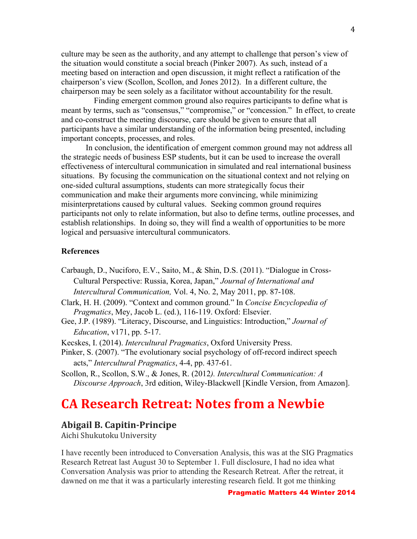culture may be seen as the authority, and any attempt to challenge that person's view of the situation would constitute a social breach (Pinker 2007). As such, instead of a meeting based on interaction and open discussion, it might reflect a ratification of the chairperson's view (Scollon, Scollon, and Jones 2012). In a different culture, the chairperson may be seen solely as a facilitator without accountability for the result.

Finding emergent common ground also requires participants to define what is meant by terms, such as "consensus," "compromise," or "concession." In effect, to create and co-construct the meeting discourse, care should be given to ensure that all participants have a similar understanding of the information being presented, including important concepts, processes, and roles.

In conclusion, the identification of emergent common ground may not address all the strategic needs of business ESP students, but it can be used to increase the overall effectiveness of intercultural communication in simulated and real international business situations. By focusing the communication on the situational context and not relying on one-sided cultural assumptions, students can more strategically focus their communication and make their arguments more convincing, while minimizing misinterpretations caused by cultural values. Seeking common ground requires participants not only to relate information, but also to define terms, outline processes, and establish relationships. In doing so, they will find a wealth of opportunities to be more logical and persuasive intercultural communicators.

#### **References**

- Carbaugh, D., Nuciforo, E.V., Saito, M., & Shin, D.S. (2011). "Dialogue in Cross-Cultural Perspective: Russia, Korea, Japan," *Journal of International and Intercultural Communication,* Vol. 4, No. 2, May 2011, pp. 87-108.
- Clark, H. H. (2009). "Context and common ground." In *Concise Encyclopedia of Pragmatics*, Mey, Jacob L. (ed.), 116-119. Oxford: Elsevier.
- Gee, J.P. (1989). "Literacy, Discourse, and Linguistics: Introduction," *Journal of Education*, v171, pp. 5-17.
- Kecskes, I. (2014). *Intercultural Pragmatics*, Oxford University Press.
- Pinker, S. (2007). "The evolutionary social psychology of off-record indirect speech acts," *Intercultural Pragmatics*, 4-4, pp. 437-61.
- Scollon, R., Scollon, S.W., & Jones, R. (2012*). Intercultural Communication: A Discourse Approach*, 3rd edition, Wiley-Blackwell [Kindle Version, from Amazon].

### **CA Research Retreat: Notes from a Newbie**

#### **Abigail B. Capitin-Principe**

Aichi Shukutoku University

I have recently been introduced to Conversation Analysis, this was at the SIG Pragmatics Research Retreat last August 30 to September 1. Full disclosure, I had no idea what Conversation Analysis was prior to attending the Research Retreat. After the retreat, it dawned on me that it was a particularly interesting research field. It got me thinking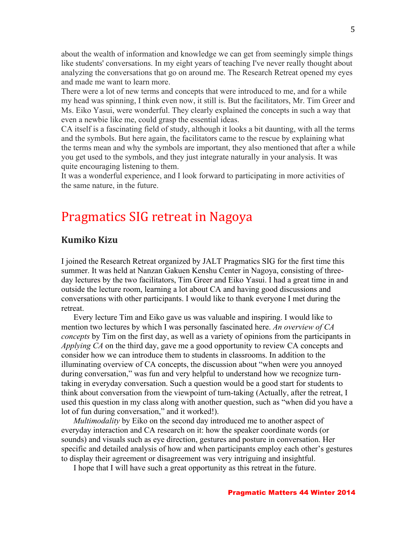about the wealth of information and knowledge we can get from seemingly simple things like students' conversations. In my eight years of teaching I've never really thought about analyzing the conversations that go on around me. The Research Retreat opened my eyes and made me want to learn more.

There were a lot of new terms and concepts that were introduced to me, and for a while my head was spinning, I think even now, it still is. But the facilitators, Mr. Tim Greer and Ms. Eiko Yasui, were wonderful. They clearly explained the concepts in such a way that even a newbie like me, could grasp the essential ideas.

CA itself is a fascinating field of study, although it looks a bit daunting, with all the terms and the symbols. But here again, the facilitators came to the rescue by explaining what the terms mean and why the symbols are important, they also mentioned that after a while you get used to the symbols, and they just integrate naturally in your analysis. It was quite encouraging listening to them.

It was a wonderful experience, and I look forward to participating in more activities of the same nature, in the future.

### Pragmatics SIG retreat in Nagoya

#### **Kumiko Kizu**

I joined the Research Retreat organized by JALT Pragmatics SIG for the first time this summer. It was held at Nanzan Gakuen Kenshu Center in Nagoya, consisting of threeday lectures by the two facilitators, Tim Greer and Eiko Yasui. I had a great time in and outside the lecture room, learning a lot about CA and having good discussions and conversations with other participants. I would like to thank everyone I met during the retreat.

Every lecture Tim and Eiko gave us was valuable and inspiring. I would like to mention two lectures by which I was personally fascinated here. *An overview of CA concepts* by Tim on the first day, as well as a variety of opinions from the participants in *Applying CA* on the third day, gave me a good opportunity to review CA concepts and consider how we can introduce them to students in classrooms. In addition to the illuminating overview of CA concepts, the discussion about "when were you annoyed during conversation," was fun and very helpful to understand how we recognize turntaking in everyday conversation. Such a question would be a good start for students to think about conversation from the viewpoint of turn-taking (Actually, after the retreat, I used this question in my class along with another question, such as "when did you have a lot of fun during conversation," and it worked!).

*Multimodality* by Eiko on the second day introduced me to another aspect of everyday interaction and CA research on it: how the speaker coordinate words (or sounds) and visuals such as eye direction, gestures and posture in conversation. Her specific and detailed analysis of how and when participants employ each other's gestures to display their agreement or disagreement was very intriguing and insightful.

I hope that I will have such a great opportunity as this retreat in the future.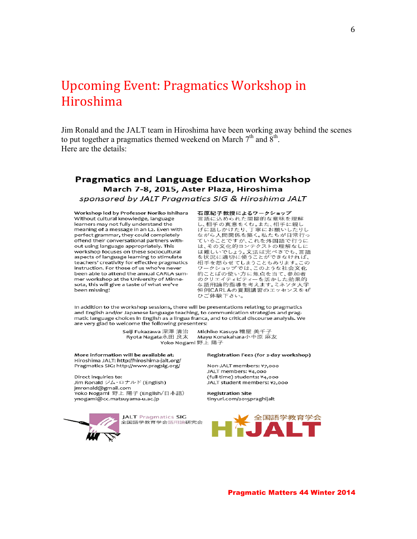## Upcoming Event: Pragmatics Workshop in Hiroshima

Jim Ronald and the JALT team in Hiroshima have been working away behind the scenes to put together a pragmatics themed weekend on March  $7<sup>th</sup>$  and  $8<sup>th</sup>$ . Here are the details:

#### **Pragmatics and Language Education Workshop** March 7-8, 2015, Aster Plaza, Hiroshima sponsored by JALT Pragmatics SIG & Hiroshima JALT

Workshop led by Professor Noriko Ishihara Without cultural knowledge, language learners may not fully understand the meaning of a message in an L2. Even with perfect grammar, they could completely offend their conversational partners without using language appropriately. This workshop focuses on these sociocultural aspects of language learning to stimulate teachers' creativity for effective pragmatics instruction. For those of us who've never been able to attend the annual CARLA summer workshop at the University of Minnesota, this will give a taste of what we've been missing!

石原紀子教授によるワークショップ 日 旅し」 みなによる ノー・ファーン<br>言語に込められた間接的な意味を理解 し、相手の真意をくむ。また、相手に親し げに話しかけたり、丁寧にお願いしたりし ながら人間関係を築く。私たちが日常行っ ていることですが、これを外国語で行うに は、その文化的コンテクストの理解なしに は難しいでしょう。文法は完ぺきでも、言語 を状況に適切に使うことができなければ、 相手を怒らせてしまうこともあります。この ワークショップでは、このような社会文化 的ことばの使い方に焦点を当て、参加者 のクリエイティビティーを活かした効果的 。。。<br>な語用論的指導を考えます。ミネソタ大学 にはいい。この意見をしていることのスプレスをぜ ひご体験下さい。

In addition to the workshop sessions, there will be presentations relating to pragmatics and English and/or Japanese language teaching, to communication strategies and pragmatic language choices in English as a lingua franca, and to critical discourse analysis. We are very glad to welcome the following presenters:

> Seiji Fukazawa 深澤 清治 Michiko Kasuva 糟屋 美千子 Ryota Nagata永田 良太 Mayu Konakahara小中原 麻友 Yoko Nogami 野上 陽子

More information will be available at: Hiroshima JALT: http://hiroshima-jalt.org/ Pragmatics SIG: http://www.pragsig.org/

Direct inquiries to: Jim Ronald ジム・ロナルド (English) jmronald@gmail.com ,<br>Yoko Nogami 野上 陽子 (English/日本語) ynogami@cc.matsuyama-u.ac.jp



#### Registration Fees (for 2-day workshop)

Non-JALT members: ¥7.000 JALT members: ¥4,000 (full-time) students: ¥4,000 JALT student members: ¥2,000

**Registration Site** tinyurl.com/2015praghijalt

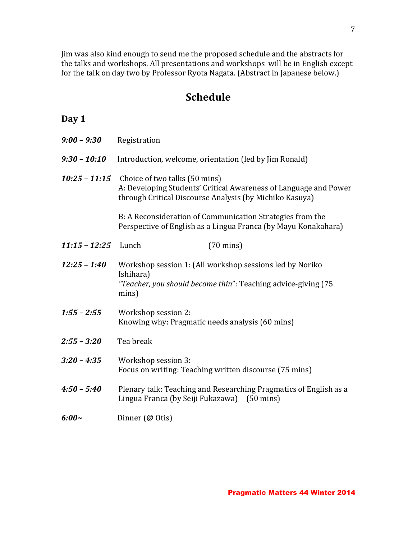Jim was also kind enough to send me the proposed schedule and the abstracts for the talks and workshops. All presentations and workshops will be in English except for the talk on day two by Professor Ryota Nagata. (Abstract in Japanese below.)

### **Schedule**

### **Day 1**

| $9:00 - 9:30$   | Registration                                                                                                                                                 |  |
|-----------------|--------------------------------------------------------------------------------------------------------------------------------------------------------------|--|
| $9:30 - 10:10$  | Introduction, welcome, orientation (led by Jim Ronald)                                                                                                       |  |
| $10:25 - 11:15$ | Choice of two talks (50 mins)<br>A: Developing Students' Critical Awareness of Language and Power<br>through Critical Discourse Analysis (by Michiko Kasuya) |  |
|                 | B: A Reconsideration of Communication Strategies from the<br>Perspective of English as a Lingua Franca (by Mayu Konakahara)                                  |  |
| $11:15 - 12:25$ | Lunch<br>$(70 \text{ mins})$                                                                                                                                 |  |
| $12:25 - 1:40$  | Workshop session 1: (All workshop sessions led by Noriko<br>Ishihara)<br>"Teacher, you should become thin": Teaching advice-giving (75)<br>mins)             |  |
| $1:55 - 2:55$   | Workshop session 2:<br>Knowing why: Pragmatic needs analysis (60 mins)                                                                                       |  |
| $2:55 - 3:20$   | Tea break                                                                                                                                                    |  |
| $3:20 - 4:35$   | Workshop session 3:<br>Focus on writing: Teaching written discourse (75 mins)                                                                                |  |
| $4:50 - 5:40$   | Plenary talk: Teaching and Researching Pragmatics of English as a<br>Lingua Franca (by Seiji Fukazawa) (50 mins)                                             |  |
| $6:00\sim$      | Dinner (@ Otis)                                                                                                                                              |  |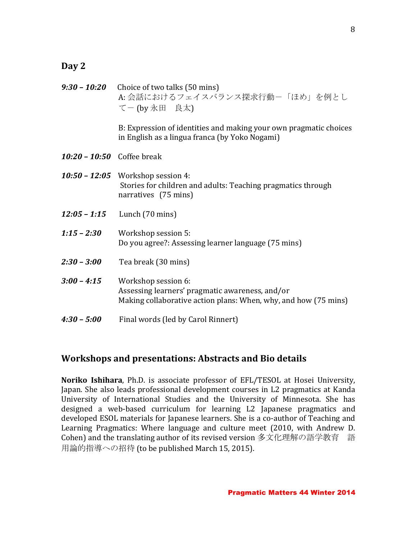#### **Day 2**

|                                   | $9:30 - 10:20$ Choice of two talks (50 mins)<br>A: 会話におけるフェイスバランス探求行動ー「ほめ」を例とし<br>てー (by 永田 良太)                                           |
|-----------------------------------|-------------------------------------------------------------------------------------------------------------------------------------------|
|                                   | B: Expression of identities and making your own pragmatic choices<br>in English as a lingua franca (by Yoko Nogami)                       |
| <b>10:20 - 10:50</b> Coffee break |                                                                                                                                           |
|                                   | <b>10:50 - 12:05</b> Workshop session 4:<br>Stories for children and adults: Teaching pragmatics through<br>narratives (75 mins)          |
| 12:05 - 1:15                      | Lunch (70 mins)                                                                                                                           |
|                                   |                                                                                                                                           |
| $1:15 - 2:30$                     | Workshop session 5:<br>Do you agree?: Assessing learner language (75 mins)                                                                |
| $2:30 - 3:00$                     | Tea break (30 mins)                                                                                                                       |
| $3:00 - 4:15$                     | Workshop session 6:<br>Assessing learners' pragmatic awareness, and/or<br>Making collaborative action plans: When, why, and how (75 mins) |

#### **Workshops and presentations: Abstracts and Bio details**

Noriko Ishihara, Ph.D. is associate professor of EFL/TESOL at Hosei University, Japan. She also leads professional development courses in L2 pragmatics at Kanda University of International Studies and the University of Minnesota. She has designed a web-based curriculum for learning L2 Japanese pragmatics and developed ESOL materials for Japanese learners. She is a co-author of Teaching and Learning Pragmatics: Where language and culture meet (2010, with Andrew D. Cohen) and the translating author of its revised version 多文化理解の語学教育 語 用論的指導への招待 (to be published March 15, 2015).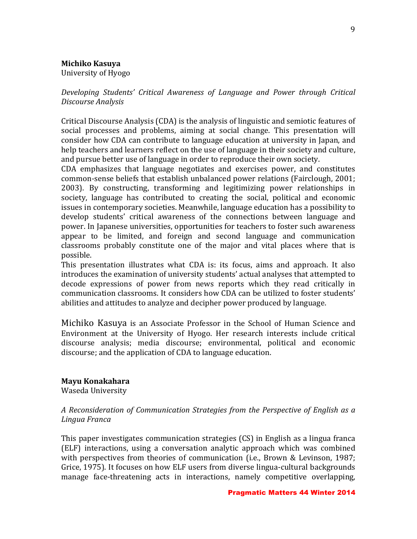#### **Michiko Kasuya**

University of Hyogo

Developing Students' Critical Awareness of Language and Power through Critical *Discourse Analysis*

Critical Discourse Analysis (CDA) is the analysis of linguistic and semiotic features of social processes and problems, aiming at social change. This presentation will consider how CDA can contribute to language education at university in Japan, and help teachers and learners reflect on the use of language in their society and culture, and pursue better use of language in order to reproduce their own society.

CDA emphasizes that language negotiates and exercises power, and constitutes common-sense beliefs that establish unbalanced power relations (Fairclough, 2001; 2003). By constructing, transforming and legitimizing power relationships in society, language has contributed to creating the social, political and economic issues in contemporary societies. Meanwhile, language education has a possibility to develop students' critical awareness of the connections between language and power. In Japanese universities, opportunities for teachers to foster such awareness appear to be limited, and foreign and second language and communication classrooms probably constitute one of the major and vital places where that is possible. 

This presentation illustrates what CDA is: its focus, aims and approach. It also introduces the examination of university students' actual analyses that attempted to decode expressions of power from news reports which they read critically in communication classrooms. It considers how CDA can be utilized to foster students' abilities and attitudes to analyze and decipher power produced by language.

Michiko Kasuya is an Associate Professor in the School of Human Science and Environment at the University of Hyogo. Her research interests include critical discourse analysis; media discourse; environmental, political and economic discourse; and the application of CDA to language education.

#### **Mayu Konakahara**

Waseda University

#### *A Reconsideration of Communication Strategies from the Perspective of English as a Lingua Franca*

This paper investigates communication strategies  $(CS)$  in English as a lingua franca (ELF) interactions, using a conversation analytic approach which was combined with perspectives from theories of communication (i.e., Brown & Levinson, 1987; Grice, 1975). It focuses on how ELF users from diverse lingua-cultural backgrounds manage face-threatening acts in interactions, namely competitive overlapping,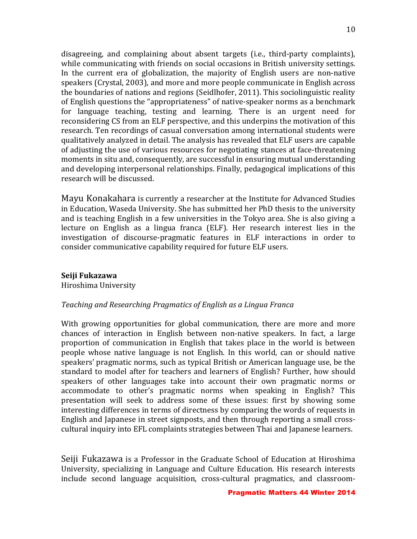disagreeing, and complaining about absent targets (i.e., third-party complaints), while communicating with friends on social occasions in British university settings. In the current era of globalization, the majority of English users are non-native speakers (Crystal, 2003), and more and more people communicate in English across the boundaries of nations and regions (Seidlhofer, 2011). This sociolinguistic reality of English questions the "appropriateness" of native-speaker norms as a benchmark for language teaching, testing and learning. There is an urgent need for reconsidering CS from an ELF perspective, and this underpins the motivation of this research. Ten recordings of casual conversation among international students were qualitatively analyzed in detail. The analysis has revealed that ELF users are capable of adjusting the use of various resources for negotiating stances at face-threatening moments in situ and, consequently, are successful in ensuring mutual understanding and developing interpersonal relationships. Finally, pedagogical implications of this research will be discussed.

Mayu Konakahara is currently a researcher at the Institute for Advanced Studies in Education, Waseda University. She has submitted her PhD thesis to the university and is teaching English in a few universities in the Tokyo area. She is also giving a lecture on English as a lingua franca (ELF). Her research interest lies in the investigation of discourse-pragmatic features in ELF interactions in order to consider communicative capability required for future ELF users.

#### **Seiji Fukazawa**

Hiroshima University

#### *Teaching and Researching Pragmatics of English as a Lingua Franca*

With growing opportunities for global communication, there are more and more chances of interaction in English between non-native speakers. In fact, a large proportion of communication in English that takes place in the world is between people whose native language is not English. In this world, can or should native speakers' pragmatic norms, such as typical British or American language use, be the standard to model after for teachers and learners of English? Further, how should speakers of other languages take into account their own pragmatic norms or accommodate to other's pragmatic norms when speaking in English? This presentation will seek to address some of these issues: first by showing some interesting differences in terms of directness by comparing the words of requests in English and Japanese in street signposts, and then through reporting a small crosscultural inquiry into EFL complaints strategies between Thai and Japanese learners.

Seiji Fukazawa is a Professor in the Graduate School of Education at Hiroshima University, specializing in Language and Culture Education. His research interests include second language acquisition, cross-cultural pragmatics, and classroom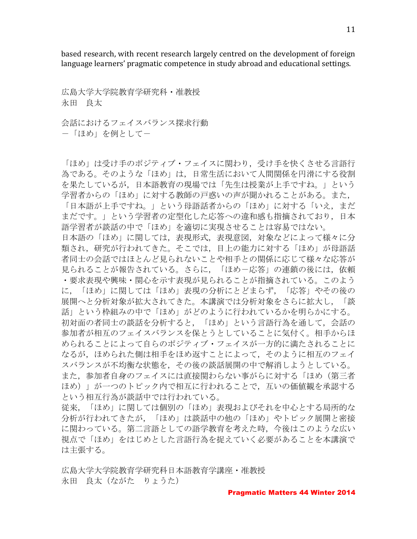based research, with recent research largely centred on the development of foreign language learners' pragmatic competence in study abroad and educational settings.

広島大学大学院教育学研究科・准教授 永田 良太

会話におけるフェイスバランス探求行動 -「ほめ」を例として-

「ほめ」は受け手のポジティブ・フェイスに関わり,受け手を快くさせる言語行 為である。そのような「ほめ」は,日常生活において人間関係を円滑にする役割 を果たしているが,日本語教育の現場では「先生は授業が上手ですね。」という 学習者からの「ほめ」に対する教師の戸惑いの声が聞かれることがある。また, 「日本語が上手ですね。」という母語話者からの「ほめ」に対する「いえ,まだ まだです。」という学習者の定型化した応答への違和感も指摘されており,日本 語学習者が談話の中で「ほめ」を適切に実現させることは容易ではない。 日本語の「ほめ」に関しては,表現形式,表現意図,対象などによって様々に分 類され,研究が行われてきた。そこでは,目上の能力に対する「ほめ」が母語話 者同士の会話ではほとんど見られないことや相手との関係に応じて様々な応答が 見られることが報告されている。さらに、「ほめ一応答」の連鎖の後には、依頼 ・要求表現や興味・関心を示す表現が見られることが指摘されている。このよう に,「ほめ」に関しては「ほめ」表現の分析にとどまらず,「応答」やその後の 展開へと分析対象が拡大されてきた。本講演では分析対象をさらに拡大し,「談 話」という枠組みの中で「ほめ」がどのように行われているかを明らかにする。 初対面の者同士の談話を分析すると,「ほめ」という言語行為を通して,会話の 参加者が相互のフェイスバランスを保とうとしていることに気付く。相手からほ められることによって自らのポジティブ・フェイスが一方的に満たされることに なるが,ほめられた側は相手をほめ返すことによって,そのように相互のフェイ スバランスが不均衡な状態を,その後の談話展開の中で解消しようとしている。 また,参加者自身のフェイスには直接関わらない事がらに対する「ほめ(第三者 ほめ)」が一つのトピック内で相互に行われることで,互いの価値観を承認する という相互行為が談話中では行われている。 従来,「ほめ」に関しては個別の「ほめ」表現およびそれを中心とする局所的な

分析が行われてきたが,「ほめ」は談話中の他の「ほめ」やトピック展開と密接 に関わっている。第二言語としての語学教育を考えた時,今後はこのような広い 視点で「ほめ」をはじめとした言語行為を捉えていく必要があることを本講演で は主張する。

広島大学大学院教育学研究科日本語教育学講座・准教授 永田 良太(ながた りょうた)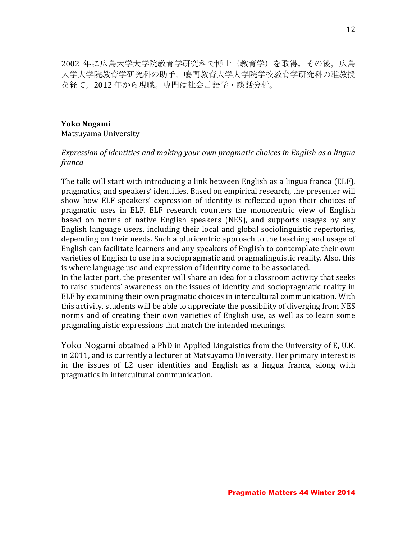2002 年に広島大学大学院教育学研究科で博士(教育学)を取得。その後,広島 大学大学院教育学研究科の助手,鳴門教育大学大学院学校教育学研究科の准教授 を経て、2012年から現職。専門は社会言語学·談話分析。

#### **Yoko Nogami**

Matsuyama University

#### *Expression of identities and making your own pragmatic choices in English as a lingua franca*

The talk will start with introducing a link between English as a lingua franca (ELF), pragmatics, and speakers' identities. Based on empirical research, the presenter will show how ELF speakers' expression of identity is reflected upon their choices of pragmatic uses in ELF. ELF research counters the monocentric view of English based on norms of native English speakers (NES), and supports usages by any English language users, including their local and global sociolinguistic repertories, depending on their needs. Such a pluricentric approach to the teaching and usage of English can facilitate learners and any speakers of English to contemplate their own varieties of English to use in a sociopragmatic and pragmalinguistic reality. Also, this is where language use and expression of identity come to be associated.

In the latter part, the presenter will share an idea for a classroom activity that seeks to raise students' awareness on the issues of identity and sociopragmatic reality in ELF by examining their own pragmatic choices in intercultural communication. With this activity, students will be able to appreciate the possibility of diverging from NES norms and of creating their own varieties of English use, as well as to learn some pragmalinguistic expressions that match the intended meanings.

Yoko Nogami obtained a PhD in Applied Linguistics from the University of E, U.K. in 2011, and is currently a lecturer at Matsuyama University. Her primary interest is in the issues of L2 user identities and English as a lingua franca, along with pragmatics in intercultural communication.